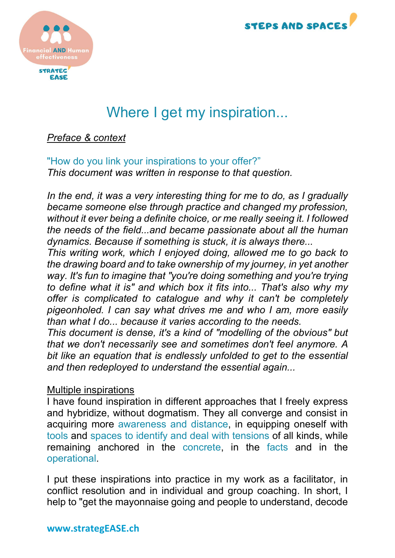



# Where I get my inspiration...

## Preface & context

"How do you link your inspirations to your offer?" This document was written in response to that question.

In the end, it was a very interesting thing for me to do, as I gradually became someone else through practice and changed my profession, without it ever being a definite choice, or me really seeing it. I followed the needs of the field...and became passionate about all the human dynamics. Because if something is stuck, it is always there...

This writing work, which I enjoyed doing, allowed me to go back to the drawing board and to take ownership of my journey, in yet another way. It's fun to imagine that "you're doing something and you're trying to define what it is" and which box it fits into... That's also why my offer is complicated to catalogue and why it can't be completely pigeonholed. I can say what drives me and who I am, more easily than what I do... because it varies according to the needs.

This document is dense, it's a kind of "modelling of the obvious" but that we don't necessarily see and sometimes don't feel anymore. A bit like an equation that is endlessly unfolded to get to the essential and then redeployed to understand the essential again...

#### Multiple inspirations

I have found inspiration in different approaches that I freely express and hybridize, without dogmatism. They all converge and consist in acquiring more awareness and distance, in equipping oneself with tools and spaces to identify and deal with tensions of all kinds, while remaining anchored in the concrete, in the facts and in the operational.

I put these inspirations into practice in my work as a facilitator, in conflict resolution and in individual and group coaching. In short, I help to "get the mayonnaise going and people to understand, decode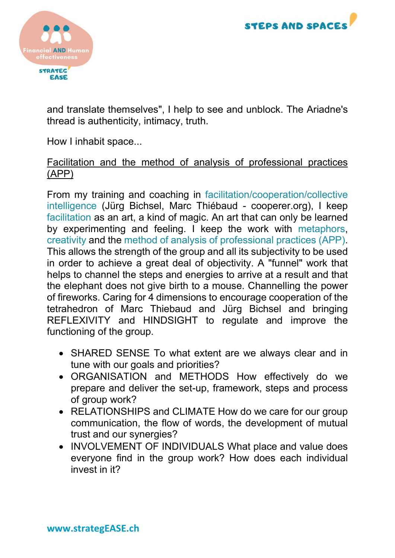



and translate themselves", I help to see and unblock. The Ariadne's thread is authenticity, intimacy, truth.

How I inhabit space...

## Facilitation and the method of analysis of professional practices (APP)

From my training and coaching in facilitation/cooperation/collective intelligence (Jürg Bichsel, Marc Thiébaud - cooperer.org), I keep facilitation as an art, a kind of magic. An art that can only be learned by experimenting and feeling. I keep the work with metaphors, creativity and the method of analysis of professional practices (APP). This allows the strength of the group and all its subjectivity to be used in order to achieve a great deal of objectivity. A "funnel" work that helps to channel the steps and energies to arrive at a result and that the elephant does not give birth to a mouse. Channelling the power of fireworks. Caring for 4 dimensions to encourage cooperation of the tetrahedron of Marc Thiebaud and Jürg Bichsel and bringing REFLEXIVITY and HINDSIGHT to regulate and improve the functioning of the group.

- SHARED SENSE To what extent are we always clear and in tune with our goals and priorities?
- ORGANISATION and METHODS How effectively do we prepare and deliver the set-up, framework, steps and process of group work?
- RELATIONSHIPS and CLIMATE How do we care for our group communication, the flow of words, the development of mutual trust and our synergies?
- INVOLVEMENT OF INDIVIDUALS What place and value does everyone find in the group work? How does each individual invest in it?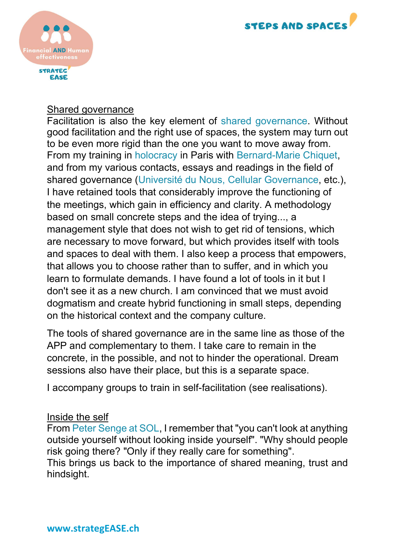



#### Shared governance

Facilitation is also the key element of shared governance. Without good facilitation and the right use of spaces, the system may turn out to be even more rigid than the one you want to move away from. From my training in holocracy in Paris with Bernard-Marie Chiquet, and from my various contacts, essays and readings in the field of shared governance (Université du Nous, Cellular Governance, etc.), I have retained tools that considerably improve the functioning of the meetings, which gain in efficiency and clarity. A methodology based on small concrete steps and the idea of trying..., a management style that does not wish to get rid of tensions, which are necessary to move forward, but which provides itself with tools and spaces to deal with them. I also keep a process that empowers, that allows you to choose rather than to suffer, and in which you learn to formulate demands. I have found a lot of tools in it but I don't see it as a new church. I am convinced that we must avoid dogmatism and create hybrid functioning in small steps, depending on the historical context and the company culture.

The tools of shared governance are in the same line as those of the APP and complementary to them. I take care to remain in the concrete, in the possible, and not to hinder the operational. Dream sessions also have their place, but this is a separate space.

I accompany groups to train in self-facilitation (see realisations).

#### Inside the self

From Peter Senge at SOL, I remember that "you can't look at anything outside yourself without looking inside yourself". "Why should people risk going there? "Only if they really care for something".

This brings us back to the importance of shared meaning, trust and hindsight.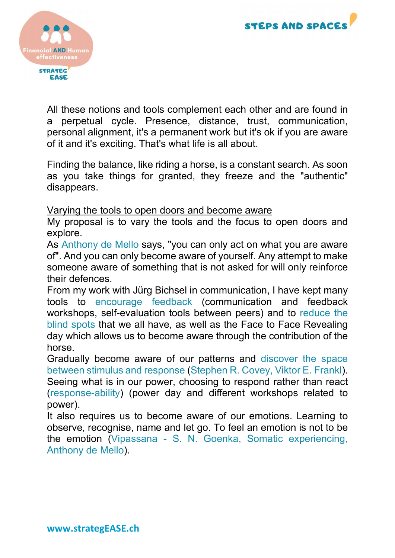



All these notions and tools complement each other and are found in a perpetual cycle. Presence, distance, trust, communication, personal alignment, it's a permanent work but it's ok if you are aware of it and it's exciting. That's what life is all about.

Finding the balance, like riding a horse, is a constant search. As soon as you take things for granted, they freeze and the "authentic" disappears.

#### Varying the tools to open doors and become aware

My proposal is to vary the tools and the focus to open doors and explore.

As Anthony de Mello says, "you can only act on what you are aware of". And you can only become aware of yourself. Any attempt to make someone aware of something that is not asked for will only reinforce their defences.

From my work with Jürg Bichsel in communication, I have kept many tools to encourage feedback (communication and feedback workshops, self-evaluation tools between peers) and to reduce the blind spots that we all have, as well as the Face to Face Revealing day which allows us to become aware through the contribution of the horse.

Gradually become aware of our patterns and discover the space between stimulus and response (Stephen R. Covey, Viktor E. Frankl). Seeing what is in our power, choosing to respond rather than react (response-ability) (power day and different workshops related to power).

It also requires us to become aware of our emotions. Learning to observe, recognise, name and let go. To feel an emotion is not to be the emotion (Vipassana - S. N. Goenka, Somatic experiencing, Anthony de Mello).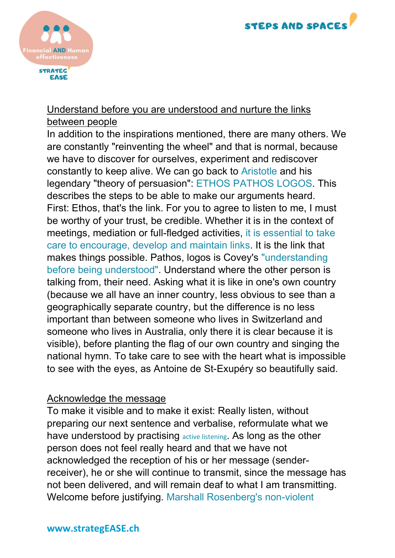



# Understand before you are understood and nurture the links between people

In addition to the inspirations mentioned, there are many others. We are constantly "reinventing the wheel" and that is normal, because we have to discover for ourselves, experiment and rediscover constantly to keep alive. We can go back to Aristotle and his legendary "theory of persuasion": ETHOS PATHOS LOGOS. This describes the steps to be able to make our arguments heard. First: Ethos, that's the link. For you to agree to listen to me, I must be worthy of your trust, be credible. Whether it is in the context of meetings, mediation or full-fledged activities, it is essential to take care to encourage, develop and maintain links. It is the link that makes things possible. Pathos, logos is Covey's "understanding before being understood". Understand where the other person is talking from, their need. Asking what it is like in one's own country (because we all have an inner country, less obvious to see than a geographically separate country, but the difference is no less important than between someone who lives in Switzerland and someone who lives in Australia, only there it is clear because it is visible), before planting the flag of our own country and singing the national hymn. To take care to see with the heart what is impossible to see with the eyes, as Antoine de St-Exupéry so beautifully said.

# Acknowledge the message

To make it visible and to make it exist: Really listen, without preparing our next sentence and verbalise, reformulate what we have understood by practising active listening. As long as the other person does not feel really heard and that we have not acknowledged the reception of his or her message (senderreceiver), he or she will continue to transmit, since the message has not been delivered, and will remain deaf to what I am transmitting. Welcome before justifying. Marshall Rosenberg's non-violent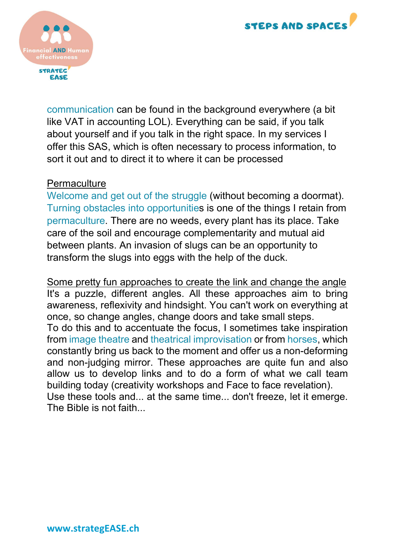



communication can be found in the background everywhere (a bit like VAT in accounting LOL). Everything can be said, if you talk about yourself and if you talk in the right space. In my services I offer this SAS, which is often necessary to process information, to sort it out and to direct it to where it can be processed

#### **Permaculture**

Welcome and get out of the struggle (without becoming a doormat). Turning obstacles into opportunities is one of the things I retain from permaculture. There are no weeds, every plant has its place. Take care of the soil and encourage complementarity and mutual aid between plants. An invasion of slugs can be an opportunity to transform the slugs into eggs with the help of the duck.

Some pretty fun approaches to create the link and change the angle It's a puzzle, different angles. All these approaches aim to bring awareness, reflexivity and hindsight. You can't work on everything at once, so change angles, change doors and take small steps. To do this and to accentuate the focus, I sometimes take inspiration from image theatre and theatrical improvisation or from horses, which constantly bring us back to the moment and offer us a non-deforming and non-judging mirror. These approaches are quite fun and also allow us to develop links and to do a form of what we call team building today (creativity workshops and Face to face revelation). Use these tools and... at the same time... don't freeze, let it emerge. The Bible is not faith...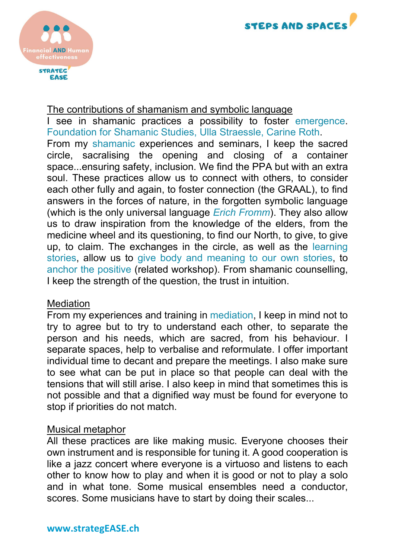



#### The contributions of shamanism and symbolic language

I see in shamanic practices a possibility to foster emergence. Foundation for Shamanic Studies, Ulla Straessle, Carine Roth. From my shamanic experiences and seminars, I keep the sacred circle, sacralising the opening and closing of a container space...ensuring safety, inclusion. We find the PPA but with an extra soul. These practices allow us to connect with others, to consider each other fully and again, to foster connection (the GRAAL), to find answers in the forces of nature, in the forgotten symbolic language (which is the only universal language *Erich Fromm*). They also allow us to draw inspiration from the knowledge of the elders, from the medicine wheel and its questioning, to find our North, to give, to give up, to claim. The exchanges in the circle, as well as the learning stories, allow us to give body and meaning to our own stories, to anchor the positive (related workshop). From shamanic counselling, I keep the strength of the question, the trust in intuition.

#### Mediation

From my experiences and training in mediation, I keep in mind not to try to agree but to try to understand each other, to separate the person and his needs, which are sacred, from his behaviour. I separate spaces, help to verbalise and reformulate. I offer important individual time to decant and prepare the meetings. I also make sure to see what can be put in place so that people can deal with the tensions that will still arise. I also keep in mind that sometimes this is not possible and that a dignified way must be found for everyone to stop if priorities do not match.

#### Musical metaphor

All these practices are like making music. Everyone chooses their own instrument and is responsible for tuning it. A good cooperation is like a jazz concert where everyone is a virtuoso and listens to each other to know how to play and when it is good or not to play a solo and in what tone. Some musical ensembles need a conductor, scores. Some musicians have to start by doing their scales...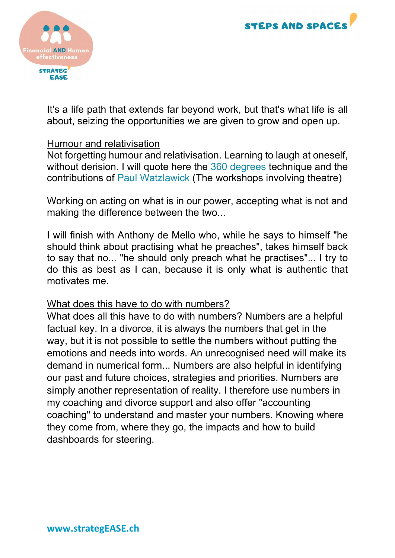



It's a life path that extends far beyond work, but that's what life is all about, seizing the opportunities we are given to grow and open up.

#### Humour and relativisation

Not forgetting humour and relativisation. Learning to laugh at oneself, without derision. I will quote here the 360 degrees technique and the contributions of Paul Watzlawick (The workshops involving theatre)

Working on acting on what is in our power, accepting what is not and making the difference between the two...

I will finish with Anthony de Mello who, while he says to himself "he should think about practising what he preaches", takes himself back to say that no... "he should only preach what he practises"... I try to do this as best as I can, because it is only what is authentic that motivates me.

#### What does this have to do with numbers?

What does all this have to do with numbers? Numbers are a helpful factual key. In a divorce, it is always the numbers that get in the way, but it is not possible to settle the numbers without putting the emotions and needs into words. An unrecognised need will make its demand in numerical form... Numbers are also helpful in identifying our past and future choices, strategies and priorities. Numbers are simply another representation of reality. I therefore use numbers in my coaching and divorce support and also offer "accounting coaching" to understand and master your numbers. Knowing where they come from, where they go, the impacts and how to build dashboards for steering.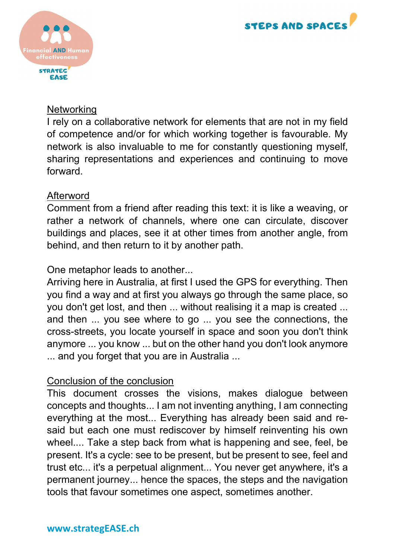



# **Networking**

I rely on a collaborative network for elements that are not in my field of competence and/or for which working together is favourable. My network is also invaluable to me for constantly questioning myself, sharing representations and experiences and continuing to move forward.

## Afterword

Comment from a friend after reading this text: it is like a weaving, or rather a network of channels, where one can circulate, discover buildings and places, see it at other times from another angle, from behind, and then return to it by another path.

## One metaphor leads to another...

Arriving here in Australia, at first I used the GPS for everything. Then you find a way and at first you always go through the same place, so you don't get lost, and then ... without realising it a map is created ... and then ... you see where to go ... you see the connections, the cross-streets, you locate yourself in space and soon you don't think anymore ... you know ... but on the other hand you don't look anymore ... and you forget that you are in Australia ...

# Conclusion of the conclusion

This document crosses the visions, makes dialogue between concepts and thoughts... I am not inventing anything, I am connecting everything at the most... Everything has already been said and resaid but each one must rediscover by himself reinventing his own wheel.... Take a step back from what is happening and see, feel, be present. It's a cycle: see to be present, but be present to see, feel and trust etc... it's a perpetual alignment... You never get anywhere, it's a permanent journey... hence the spaces, the steps and the navigation tools that favour sometimes one aspect, sometimes another.